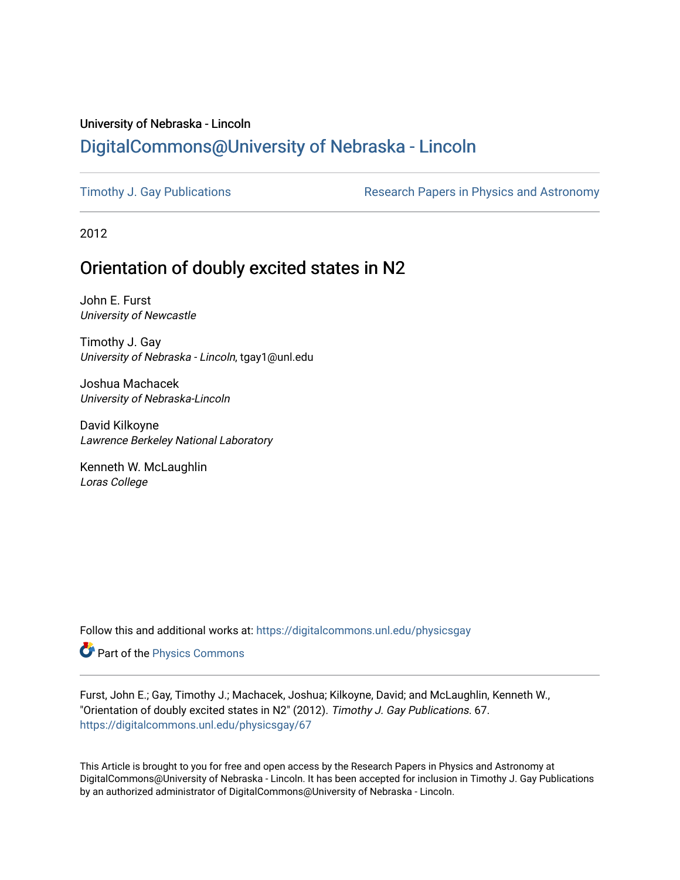# University of Nebraska - Lincoln [DigitalCommons@University of Nebraska - Lincoln](https://digitalcommons.unl.edu/)

[Timothy J. Gay Publications](https://digitalcommons.unl.edu/physicsgay) **Research Papers in Physics and Astronomy** 

2012

# Orientation of doubly excited states in N2

John E. Furst University of Newcastle

Timothy J. Gay University of Nebraska - Lincoln, tgay1@unl.edu

Joshua Machacek University of Nebraska-Lincoln

David Kilkoyne Lawrence Berkeley National Laboratory

Kenneth W. McLaughlin Loras College

Follow this and additional works at: [https://digitalcommons.unl.edu/physicsgay](https://digitalcommons.unl.edu/physicsgay?utm_source=digitalcommons.unl.edu%2Fphysicsgay%2F67&utm_medium=PDF&utm_campaign=PDFCoverPages)

Part of the [Physics Commons](http://network.bepress.com/hgg/discipline/193?utm_source=digitalcommons.unl.edu%2Fphysicsgay%2F67&utm_medium=PDF&utm_campaign=PDFCoverPages)

Furst, John E.; Gay, Timothy J.; Machacek, Joshua; Kilkoyne, David; and McLaughlin, Kenneth W., "Orientation of doubly excited states in N2" (2012). Timothy J. Gay Publications. 67. [https://digitalcommons.unl.edu/physicsgay/67](https://digitalcommons.unl.edu/physicsgay/67?utm_source=digitalcommons.unl.edu%2Fphysicsgay%2F67&utm_medium=PDF&utm_campaign=PDFCoverPages) 

This Article is brought to you for free and open access by the Research Papers in Physics and Astronomy at DigitalCommons@University of Nebraska - Lincoln. It has been accepted for inclusion in Timothy J. Gay Publications by an authorized administrator of DigitalCommons@University of Nebraska - Lincoln.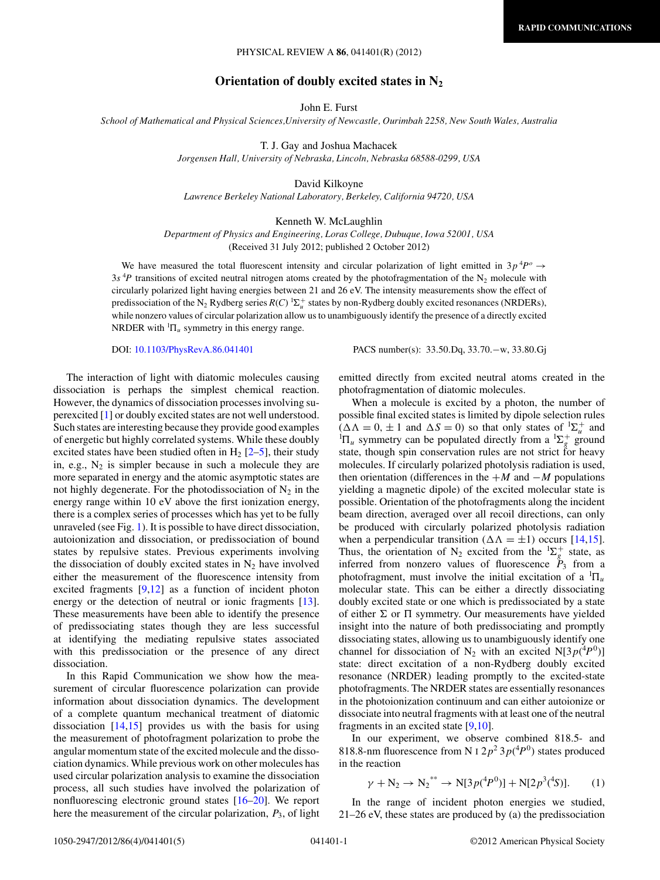## PHYSICAL REVIEW A **86**, 041401(R) (2012)

## **Orientation of doubly excited states in N2**

John E. Furst

*School of Mathematical and Physical Sciences,University of Newcastle, Ourimbah 2258, New South Wales, Australia*

T. J. Gay and Joshua Machacek

*Jorgensen Hall, University of Nebraska, Lincoln, Nebraska 68588-0299, USA*

David Kilkoyne *Lawrence Berkeley National Laboratory, Berkeley, California 94720, USA*

### Kenneth W. McLaughlin

*Department of Physics and Engineering, Loras College, Dubuque, Iowa 52001, USA* (Received 31 July 2012; published 2 October 2012)

We have measured the total fluorescent intensity and circular polarization of light emitted in  $3p^4P^o \rightarrow$  $3s<sup>4</sup>P$  transitions of excited neutral nitrogen atoms created by the photofragmentation of the N<sub>2</sub> molecule with circularly polarized light having energies between 21 and 26 eV. The intensity measurements show the effect of predissociation of the N<sub>2</sub> Rydberg series  $R(C)$  <sup>1</sup> $\Sigma_u^+$  states by non-Rydberg doubly excited resonances (NRDERs), while nonzero values of circular polarization allow us to unambiguously identify the presence of a directly excited NRDER with  ${}^{1}\Pi_u$  symmetry in this energy range.

DOI: [10.1103/PhysRevA.86.041401](http://dx.doi.org/10.1103/PhysRevA.86.041401) PACS number(s): 33*.*50*.*Dq, 33*.*70*.*−w, 33*.*80*.*Gj

The interaction of light with diatomic molecules causing dissociation is perhaps the simplest chemical reaction. However, the dynamics of dissociation processes involving superexcited [\[1\]](#page-4-0) or doubly excited states are not well understood. Such states are interesting because they provide good examples of energetic but highly correlated systems. While these doubly excited states have been studied often in  $H_2$  [\[2–5\]](#page-4-0), their study in, e.g.,  $N_2$  is simpler because in such a molecule they are more separated in energy and the atomic asymptotic states are not highly degenerate. For the photodissociation of  $N_2$  in the energy range within 10 eV above the first ionization energy, there is a complex series of processes which has yet to be fully unraveled (see Fig. [1\)](#page-2-0). It is possible to have direct dissociation, autoionization and dissociation, or predissociation of bound states by repulsive states. Previous experiments involving the dissociation of doubly excited states in  $N_2$  have involved either the measurement of the fluorescence intensity from excited fragments  $[9,12]$  as a function of incident photon energy or the detection of neutral or ionic fragments [\[13\]](#page-4-0). These measurements have been able to identify the presence of predissociating states though they are less successful at identifying the mediating repulsive states associated with this predissociation or the presence of any direct dissociation.

In this Rapid Communication we show how the measurement of circular fluorescence polarization can provide information about dissociation dynamics. The development of a complete quantum mechanical treatment of diatomic dissociation  $[14,15]$  provides us with the basis for using the measurement of photofragment polarization to probe the angular momentum state of the excited molecule and the dissociation dynamics. While previous work on other molecules has used circular polarization analysis to examine the dissociation process, all such studies have involved the polarization of nonfluorescing electronic ground states [\[16](#page-4-0)[–20\]](#page-5-0). We report here the measurement of the circular polarization, *P*3, of light emitted directly from excited neutral atoms created in the photofragmentation of diatomic molecules.

When a molecule is excited by a photon, the number of possible final excited states is limited by dipole selection rules  $(\Delta \Lambda = 0, \pm 1 \text{ and } \Delta S = 0)$  so that only states of  ${}^{1}\Sigma_{u}^{+}$  and <sup>1</sup> $\Pi_u$  symmetry can be populated directly from a <sup>1</sup> $\Sigma_g^+$  ground state, though spin conservation rules are not strict for heavy molecules. If circularly polarized photolysis radiation is used, then orientation (differences in the  $+M$  and  $-M$  populations yielding a magnetic dipole) of the excited molecular state is possible. Orientation of the photofragments along the incident beam direction, averaged over all recoil directions, can only be produced with circularly polarized photolysis radiation when a perpendicular transition ( $\Delta \Lambda = \pm 1$ ) occurs [\[14,15\]](#page-4-0). Thus, the orientation of N<sub>2</sub> excited from the  ${}^{1}\Sigma_{g}^{+}$  state, as inferred from nonzero values of fluorescence  $\tilde{P}_3$  from a photofragment, must involve the initial excitation of a  ${}^{1}\Pi_u$ molecular state. This can be either a directly dissociating doubly excited state or one which is predissociated by a state of either  $\Sigma$  or  $\Pi$  symmetry. Our measurements have yielded insight into the nature of both predissociating and promptly dissociating states, allowing us to unambiguously identify one channel for dissociation of N<sub>2</sub> with an excited N[3 $p(^4P^0)$ ] state: direct excitation of a non-Rydberg doubly excited resonance (NRDER) leading promptly to the excited-state photofragments. The NRDER states are essentially resonances in the photoionization continuum and can either autoionize or dissociate into neutral fragments with at least one of the neutral fragments in an excited state [\[9,10\]](#page-4-0).

In our experiment, we observe combined 818.5- and 818.8-nm fluorescence from N I  $2p^2 3p(^4P^0)$  states produced in the reaction

$$
\gamma + N_2 \to N_2^{**} \to N[3p(^4P^0)] + N[2p^3(^4S)]. \tag{1}
$$

In the range of incident photon energies we studied, 21–26 eV, these states are produced by (a) the predissociation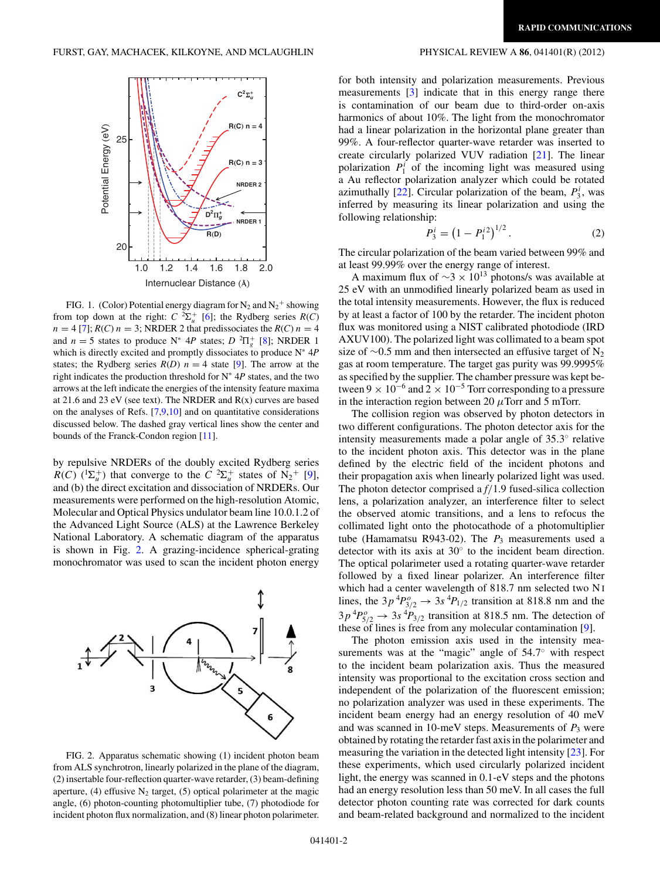<span id="page-2-0"></span>

FIG. 1. (Color) Potential energy diagram for  $N_2$  and  $N_2^+$  showing from top down at the right:  $C^2\Sigma_u^+$  [\[6\]](#page-4-0); the Rydberg series  $R(C)$  $n = 4$  [\[7\]](#page-4-0);  $R(C)$   $n = 3$ ; NRDER 2 that predissociates the  $R(C)$   $n = 4$ and  $n = 5$  states to produce N<sup>\*</sup> 4P states;  $D^{2}\Pi_{g}^{+}$  [\[8\]](#page-4-0); NRDER 1 which is directly excited and promptly dissociates to produce N<sup>∗</sup> 4*P* states; the Rydberg series  $R(D)$   $n = 4$  state [\[9\]](#page-4-0). The arrow at the right indicates the production threshold for N<sup>∗</sup> 4*P* states, and the two arrows at the left indicate the energies of the intensity feature maxima at 21*.*6 and 23 eV (see text). The NRDER and R(x) curves are based on the analyses of Refs.  $[7,9,10]$  and on quantitative considerations discussed below. The dashed gray vertical lines show the center and bounds of the Franck-Condon region [\[11\]](#page-4-0).

by repulsive NRDERs of the doubly excited Rydberg series *R*(*C*)  $({}^{1}\Sigma_{u}^{+})$  that converge to the *C*  ${}^{2}\Sigma_{u}^{+}$  states of N<sub>2</sub><sup>+</sup> [\[9\]](#page-4-0), and (b) the direct excitation and dissociation of NRDERs. Our measurements were performed on the high-resolution Atomic, Molecular and Optical Physics undulator beam line 10.0.1.2 of the Advanced Light Source (ALS) at the Lawrence Berkeley National Laboratory. A schematic diagram of the apparatus is shown in Fig. 2. A grazing-incidence spherical-grating monochromator was used to scan the incident photon energy



FIG. 2. Apparatus schematic showing (1) incident photon beam from ALS synchrotron, linearly polarized in the plane of the diagram, (2) insertable four-reflection quarter-wave retarder, (3) beam-defining aperture, (4) effusive  $N_2$  target, (5) optical polarimeter at the magic angle, (6) photon-counting photomultiplier tube, (7) photodiode for incident photon flux normalization, and (8) linear photon polarimeter.

for both intensity and polarization measurements. Previous measurements [\[3\]](#page-4-0) indicate that in this energy range there is contamination of our beam due to third-order on-axis harmonics of about 10%. The light from the monochromator had a linear polarization in the horizontal plane greater than 99%. A four-reflector quarter-wave retarder was inserted to create circularly polarized VUV radiation [\[21\]](#page-5-0). The linear polarization  $P_1^i$  of the incoming light was measured using a Au reflector polarization analyzer which could be rotated azimuthally [\[22\]](#page-5-0). Circular polarization of the beam,  $P_3^i$ , was inferred by measuring its linear polarization and using the following relationship:

$$
P_3^i = \left(1 - P_1^{i2}\right)^{1/2}.\tag{2}
$$

The circular polarization of the beam varied between 99% and at least 99.99% over the energy range of interest.

A maximum flux of  $\sim$ 3 × 10<sup>13</sup> photons/s was available at 25 eV with an unmodified linearly polarized beam as used in the total intensity measurements. However, the flux is reduced by at least a factor of 100 by the retarder. The incident photon flux was monitored using a NIST calibrated photodiode (IRD AXUV100). The polarized light was collimated to a beam spot size of  $\sim$ 0.5 mm and then intersected an effusive target of N<sub>2</sub> gas at room temperature. The target gas purity was 99.9995% as specified by the supplier. The chamber pressure was kept between  $9 \times 10^{-6}$  and  $2 \times 10^{-5}$  Torr corresponding to a pressure in the interaction region between 20  $\mu$ Torr and 5 mTorr.

The collision region was observed by photon detectors in two different configurations. The photon detector axis for the intensity measurements made a polar angle of 35*.*3◦ relative to the incident photon axis. This detector was in the plane defined by the electric field of the incident photons and their propagation axis when linearly polarized light was used. The photon detector comprised a *f/*1.9 fused-silica collection lens, a polarization analyzer, an interference filter to select the observed atomic transitions, and a lens to refocus the collimated light onto the photocathode of a photomultiplier tube (Hamamatsu R943-02). The  $P_3$  measurements used a detector with its axis at 30◦ to the incident beam direction. The optical polarimeter used a rotating quarter-wave retarder followed by a fixed linear polarizer. An interference filter which had a center wavelength of 818.7 nm selected two N I lines, the  $3p^4P_{3/2}^o \rightarrow 3s^4P_{1/2}$  transition at 818.8 nm and the  $3p^{4}P_{5/2}^{o} \rightarrow 3s^{4}P_{3/2}$  transition at 818.5 nm. The detection of these of lines is free from any molecular contamination [\[9\]](#page-4-0).

The photon emission axis used in the intensity measurements was at the "magic" angle of 54*.*7◦ with respect to the incident beam polarization axis. Thus the measured intensity was proportional to the excitation cross section and independent of the polarization of the fluorescent emission; no polarization analyzer was used in these experiments. The incident beam energy had an energy resolution of 40 meV and was scanned in 10-meV steps. Measurements of  $P_3$  were obtained by rotating the retarder fast axis in the polarimeter and measuring the variation in the detected light intensity [\[23\]](#page-5-0). For these experiments, which used circularly polarized incident light, the energy was scanned in 0.1-eV steps and the photons had an energy resolution less than 50 meV. In all cases the full detector photon counting rate was corrected for dark counts and beam-related background and normalized to the incident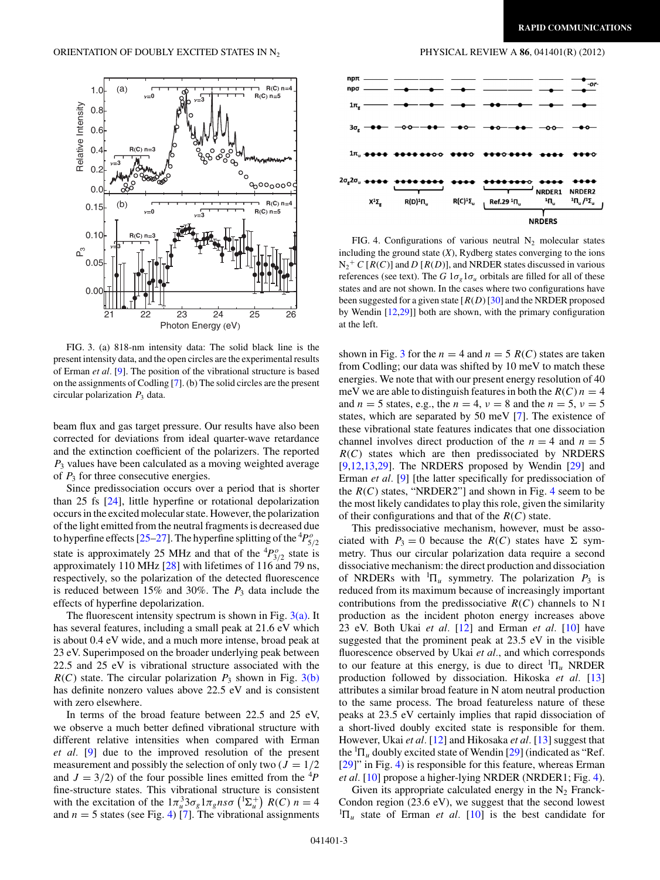<span id="page-3-0"></span>

FIG. 3. (a) 818-nm intensity data: The solid black line is the present intensity data, and the open circles are the experimental results of Erman *et al.* [\[9\]](#page-4-0). The position of the vibrational structure is based on the assignments of Codling [\[7\]](#page-4-0). (b) The solid circles are the present circular polarization *P*<sup>3</sup> data.

beam flux and gas target pressure. Our results have also been corrected for deviations from ideal quarter-wave retardance and the extinction coefficient of the polarizers. The reported *P*<sup>3</sup> values have been calculated as a moving weighted average of  $P_3$  for three consecutive energies.

Since predissociation occurs over a period that is shorter than 25 fs [\[24\]](#page-5-0), little hyperfine or rotational depolarization occurs in the excited molecular state. However, the polarization of the light emitted from the neutral fragments is decreased due to hyperfine effects [\[25–27\]](#page-5-0). The hyperfine splitting of the  ${}^4P^o_{5/2}$ state is approximately 25 MHz and that of the  ${}^{4}P^{o}_{3/2}$  state is approximately 110 MHz [\[28\]](#page-5-0) with lifetimes of 116 and 79 ns, respectively, so the polarization of the detected fluorescence is reduced between 15% and 30%. The *P*<sup>3</sup> data include the effects of hyperfine depolarization.

The fluorescent intensity spectrum is shown in Fig.  $3(a)$ . It has several features, including a small peak at 21.6 eV which is about 0.4 eV wide, and a much more intense, broad peak at 23 eV. Superimposed on the broader underlying peak between 22.5 and 25 eV is vibrational structure associated with the  $R(C)$  state. The circular polarization  $P_3$  shown in Fig. 3(b) has definite nonzero values above 22.5 eV and is consistent with zero elsewhere.

In terms of the broad feature between 22.5 and 25 eV, we observe a much better defined vibrational structure with different relative intensities when compared with Erman *et al.* [\[9\]](#page-4-0) due to the improved resolution of the present measurement and possibly the selection of only two  $(J = 1/2)$ and  $J = 3/2$ ) of the four possible lines emitted from the <sup>4</sup>P fine-structure states. This vibrational structure is consistent with the excitation of the  $1\pi_u^3 3\sigma_g 1\pi_g n s\sigma \left(\frac{1}{\Sigma_u}\right) R(C) n = 4$ and  $n = 5$  states (see Fig. 4) [\[7\]](#page-4-0). The vibrational assignments



FIG. 4. Configurations of various neutral  $N_2$  molecular states including the ground state  $(X)$ , Rydberg states converging to the ions  $N_2$ <sup>+</sup> *C* [*R*(*C*)] and *D* [*R*(*D*)], and NRDER states discussed in various references (see text). The *G*  $1\sigma_{g}1\sigma_{u}$  orbitals are filled for all of these states and are not shown. In the cases where two configurations have been suggested for a given state [*R*(*D*) [\[30\]](#page-5-0) and the NRDER proposed by Wendin [\[12](#page-4-0)[,29\]](#page-5-0)] both are shown, with the primary configuration at the left.

shown in Fig. 3 for the  $n = 4$  and  $n = 5$   $R(C)$  states are taken from Codling; our data was shifted by 10 meV to match these energies. We note that with our present energy resolution of 40 meV we are able to distinguish features in both the  $R(C)$   $n = 4$ and  $n = 5$  states, e.g., the  $n = 4$ ,  $\nu = 8$  and the  $n = 5$ ,  $\nu = 5$ states, which are separated by 50 meV [\[7\]](#page-4-0). The existence of these vibrational state features indicates that one dissociation channel involves direct production of the  $n = 4$  and  $n = 5$ *R*(*C*) states which are then predissociated by NRDERS [\[9,12,13](#page-4-0)[,29\]](#page-5-0). The NRDERS proposed by Wendin [\[29\]](#page-5-0) and Erman *et al.* [\[9\]](#page-4-0) [the latter specifically for predissociation of the  $R(C)$  states, "NRDER2"] and shown in Fig. 4 seem to be the most likely candidates to play this role, given the similarity of their configurations and that of the *R*(*C*) state.

This predissociative mechanism, however, must be associated with  $P_3 = 0$  because the  $R(C)$  states have  $\Sigma$  symmetry. Thus our circular polarization data require a second dissociative mechanism: the direct production and dissociation of NRDERs with  ${}^{1}\Pi_{u}$  symmetry. The polarization  $P_3$  is reduced from its maximum because of increasingly important contributions from the predissociative  $R(C)$  channels to N<sub>I</sub> production as the incident photon energy increases above 23 eV. Both Ukai *et al.* [\[12\]](#page-4-0) and Erman *et al.* [\[10\]](#page-4-0) have suggested that the prominent peak at 23.5 eV in the visible fluorescence observed by Ukai *et al.*, and which corresponds to our feature at this energy, is due to direct  ${}^{1}\Pi_u$  NRDER production followed by dissociation. Hikoska *et al.* [\[13\]](#page-4-0) attributes a similar broad feature in N atom neutral production to the same process. The broad featureless nature of these peaks at 23.5 eV certainly implies that rapid dissociation of a short-lived doubly excited state is responsible for them. However, Ukai *et al.* [\[12\]](#page-4-0) and Hikosaka *et al.* [\[13\]](#page-4-0) suggest that the  ${}^{1}\Pi_u$  doubly excited state of Wendin [\[29\]](#page-5-0) (indicated as "Ref. [\[29\]](#page-5-0)" in Fig. 4) is responsible for this feature, whereas Erman *et al.* [\[10\]](#page-4-0) propose a higher-lying NRDER (NRDER1; Fig. 4).

Given its appropriate calculated energy in the  $N_2$  Franck-Condon region (23.6 eV), we suggest that the second lowest  ${}^{1}\Pi_{u}$  state of Erman *et al.* [\[10\]](#page-4-0) is the best candidate for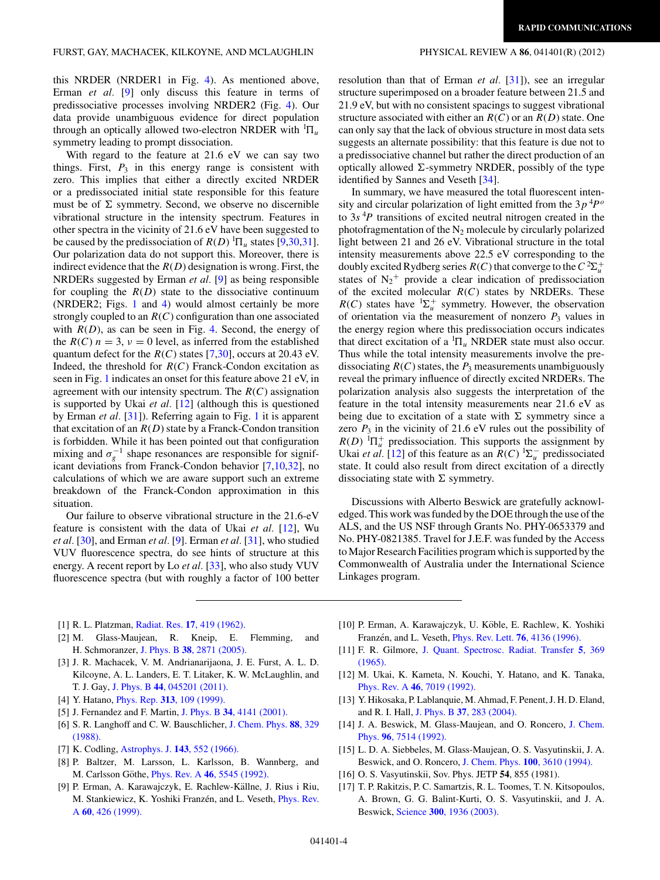<span id="page-4-0"></span>this NRDER (NRDER1 in Fig. [4\)](#page-3-0). As mentioned above, Erman *et al.* [9] only discuss this feature in terms of predissociative processes involving NRDER2 (Fig. [4\)](#page-3-0). Our data provide unambiguous evidence for direct population through an optically allowed two-electron NRDER with  ${}^{1}\Pi_u$ symmetry leading to prompt dissociation.

With regard to the feature at 21.6 eV we can say two things. First,  $P_3$  in this energy range is consistent with zero. This implies that either a directly excited NRDER or a predissociated initial state responsible for this feature must be of  $\Sigma$  symmetry. Second, we observe no discernible vibrational structure in the intensity spectrum. Features in other spectra in the vicinity of 21.6 eV have been suggested to be caused by the predissociation of  $R(D)$  <sup>1</sup> $\Pi_u$  states [9[,30,31\]](#page-5-0). Our polarization data do not support this. Moreover, there is indirect evidence that the *R*(*D*) designation is wrong. First, the NRDERs suggested by Erman *et al.* [9] as being responsible for coupling the  $R(D)$  state to the dissociative continuum (NRDER2; Figs. [1](#page-2-0) and [4\)](#page-3-0) would almost certainly be more strongly coupled to an *R*(*C*) configuration than one associated with  $R(D)$ , as can be seen in Fig. [4.](#page-3-0) Second, the energy of the  $R(C)$   $n = 3$ ,  $\nu = 0$  level, as inferred from the established quantum defect for the  $R(C)$  states [7[,30\]](#page-5-0), occurs at 20.43 eV. Indeed, the threshold for  $R(C)$  Franck-Condon excitation as seen in Fig. [1](#page-2-0) indicates an onset for this feature above 21 eV, in agreement with our intensity spectrum. The *R*(*C*) assignation is supported by Ukai *et al.* [12] (although this is questioned by Erman *et al.* [\[31\]](#page-5-0)). Referring again to Fig. [1](#page-2-0) it is apparent that excitation of an  $R(D)$  state by a Franck-Condon transition is forbidden. While it has been pointed out that configuration mixing and  $\sigma_g^{-1}$  shape resonances are responsible for significant deviations from Franck-Condon behavior [7,10[,32\]](#page-5-0), no calculations of which we are aware support such an extreme breakdown of the Franck-Condon approximation in this situation.

Our failure to observe vibrational structure in the 21.6-eV feature is consistent with the data of Ukai *et al.* [12], Wu *et al.* [\[30\]](#page-5-0), and Erman *et al.* [9]. Erman *et al.* [\[31\]](#page-5-0), who studied VUV fluorescence spectra, do see hints of structure at this energy. A recent report by Lo *et al.* [\[33\]](#page-5-0), who also study VUV fluorescence spectra (but with roughly a factor of 100 better

resolution than that of Erman *et al.* [\[31\]](#page-5-0)), see an irregular structure superimposed on a broader feature between 21.5 and 21.9 eV, but with no consistent spacings to suggest vibrational structure associated with either an *R*(*C*) or an *R*(*D*) state. One can only say that the lack of obvious structure in most data sets suggests an alternate possibility: that this feature is due not to a predissociative channel but rather the direct production of an optically allowed  $\Sigma$ -symmetry NRDER, possibly of the type identified by Sannes and Veseth [\[34\]](#page-5-0).

In summary, we have measured the total fluorescent intensity and circular polarization of light emitted from the  $3p^{4}P^{o}$ to  $3s<sup>4</sup>P$  transitions of excited neutral nitrogen created in the photofragmentation of the  $N_2$  molecule by circularly polarized light between 21 and 26 eV. Vibrational structure in the total intensity measurements above 22.5 eV corresponding to the doubly excited Rydberg series  $R(C)$  that converge to the  $C^2\Sigma_u^+$ states of  $N_2$ <sup>+</sup> provide a clear indication of predissociation of the excited molecular *R*(*C*) states by NRDERs. These  $R(C)$  states have  ${}^{1}\Sigma_{u}^{+}$  symmetry. However, the observation of orientation via the measurement of nonzero  $P_3$  values in the energy region where this predissociation occurs indicates that direct excitation of a  ${}^{1}\Pi_u$  NRDER state must also occur. Thus while the total intensity measurements involve the predissociating  $R(C)$  states, the  $P_3$  measurements unambiguously reveal the primary influence of directly excited NRDERs. The polarization analysis also suggests the interpretation of the feature in the total intensity measurements near 21.6 eV as being due to excitation of a state with  $\Sigma$  symmetry since a zero  $P_3$  in the vicinity of 21.6 eV rules out the possibility of  $R(D)$  <sup>1</sup> $\Pi_u^+$  predissociation. This supports the assignment by Ukai *et al.* [12] of this feature as an  $R(C)$  <sup>1</sup> $\Sigma_u^-$  predissociated state. It could also result from direct excitation of a directly dissociating state with  $\Sigma$  symmetry.

Discussions with Alberto Beswick are gratefully acknowledged. This work was funded by the DOE through the use of the ALS, and the US NSF through Grants No. PHY-0653379 and No. PHY-0821385. Travel for J.E.F. was funded by the Access to Major Research Facilities program which is supported by the Commonwealth of Australia under the International Science Linkages program.

- [1] R. L. Platzman, Radiat. Res. **17**[, 419 \(1962\).](http://dx.doi.org/10.2307/3571104)
- [2] M. Glass-Maujean, R. Kneip, E. Flemming, and H. Schmoranzer, J. Phys. B **38**[, 2871 \(2005\).](http://dx.doi.org/10.1088/0953-4075/38/16/002)
- [3] J. R. Machacek, V. M. Andrianarijaona, J. E. Furst, A. L. D. Kilcoyne, A. L. Landers, E. T. Litaker, K. W. McLaughlin, and T. J. Gay, J. Phys. B **44**[, 045201 \(2011\).](http://dx.doi.org/10.1088/0953-4075/44/4/045201)
- [4] Y. Hatano, Phys. Rep. **313**[, 109 \(1999\).](http://dx.doi.org/10.1016/S0370-1573(98)00086-6)
- [5] J. Fernandez and F. Martin, J. Phys. B **34**[, 4141 \(2001\).](http://dx.doi.org/10.1088/0953-4075/34/21/306)
- [6] S. R. Langhoff and C. W. Bauschlicher, [J. Chem. Phys.](http://dx.doi.org/10.1063/1.454604) **88**, 329 [\(1988\).](http://dx.doi.org/10.1063/1.454604)
- [7] K. Codling, [Astrophys. J.](http://dx.doi.org/10.1086/148533) **143**, 552 (1966).
- [8] P. Baltzer, M. Larsson, L. Karlsson, B. Wannberg, and M. Carlsson Göthe, *Phys. Rev. A* 46[, 5545 \(1992\).](http://dx.doi.org/10.1103/PhysRevA.46.5545)
- [9] P. Erman, A. Karawajczyk, E. Rachlew-Källne, J. Rius i Riu, M. Stankiewicz, K. Yoshiki Franzén, and L. Veseth, *[Phys. Rev.](http://dx.doi.org/10.1103/PhysRevA.60.426)* A **60**[, 426 \(1999\).](http://dx.doi.org/10.1103/PhysRevA.60.426)
- [10] P. Erman, A. Karawajczyk, U. Köble, E. Rachlew, K. Yoshiki Franzén, and L. Veseth, *[Phys. Rev. Lett.](http://dx.doi.org/10.1103/PhysRevLett.76.4136)* **76**, 4136 (1996).
- [11] F. R. Gilmore, [J. Quant. Spectrosc. Radiat. Transfer](http://dx.doi.org/10.1016/0022-4073(65)90072-5) **5**, 369 [\(1965\).](http://dx.doi.org/10.1016/0022-4073(65)90072-5)
- [12] M. Ukai, K. Kameta, N. Kouchi, Y. Hatano, and K. Tanaka, Phys. Rev. A **46**[, 7019 \(1992\).](http://dx.doi.org/10.1103/PhysRevA.46.7019)
- [13] Y. Hikosaka, P. Lablanquie, M. Ahmad, F. Penent, J. H. D. Eland, and R. I. Hall, J. Phys. B **37**[, 283 \(2004\).](http://dx.doi.org/10.1088/0953-4075/37/1/017)
- [14] J. A. Beswick, M. Glass-Maujean, and O. Roncero, [J. Chem.](http://dx.doi.org/10.1063/1.462403) Phys. **96**[, 7514 \(1992\).](http://dx.doi.org/10.1063/1.462403)
- [15] L. D. A. Siebbeles, M. Glass-Maujean, O. S. Vasyutinskii, J. A. Beswick, and O. Roncero, [J. Chem. Phys.](http://dx.doi.org/10.1063/1.466402) **100**, 3610 (1994).
- [16] O. S. Vasyutinskii, Sov. Phys. JETP **54**, 855 (1981).
- [17] T. P. Rakitzis, P. C. Samartzis, R. L. Toomes, T. N. Kitsopoulos, A. Brown, G. G. Balint-Kurti, O. S. Vasyutinskii, and J. A. Beswick, Science **300**[, 1936 \(2003\).](http://dx.doi.org/10.1126/science.1084809)